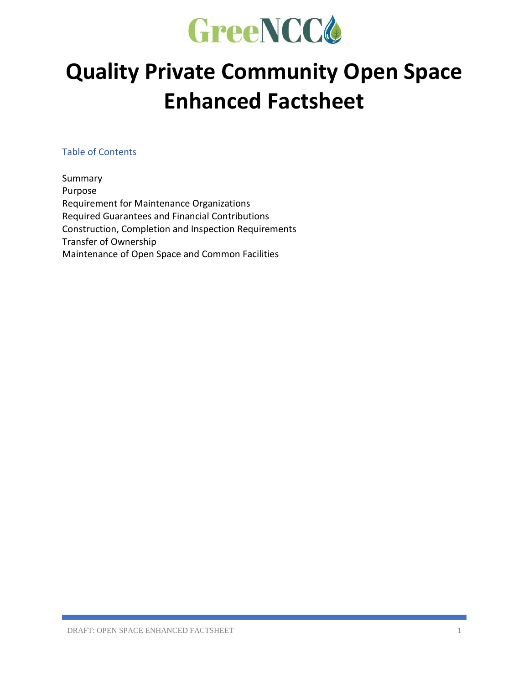

# **Quality Private Community Open Space Enhanced Factsheet**

Table of Contents

Summary Purpose Requirement for Maintenance Organizations Required Guarantees and Financial Contributions Construction, Completion and Inspection Requirements Transfer of Ownership Maintenance of Open Space and Common Facilities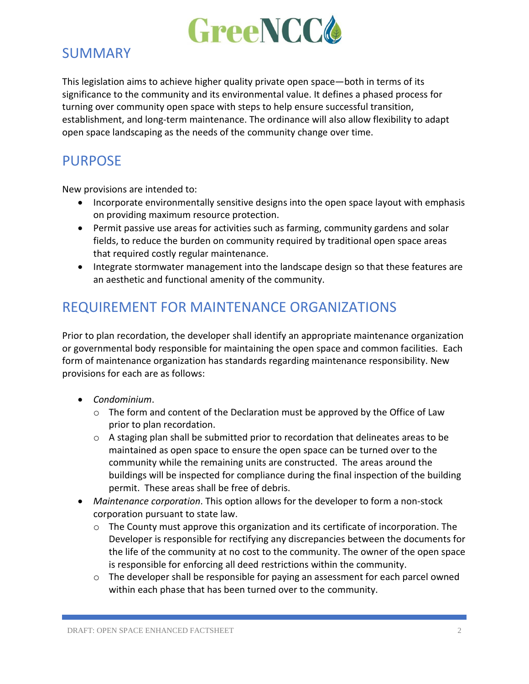

#### SUMMARY

This legislation aims to achieve higher quality private open space—both in terms of its significance to the community and its environmental value. It defines a phased process for turning over community open space with steps to help ensure successful transition, establishment, and long-term maintenance. The ordinance will also allow flexibility to adapt open space landscaping as the needs of the community change over time.

## PURPOSE

New provisions are intended to:

- Incorporate environmentally sensitive designs into the open space layout with emphasis on providing maximum resource protection.
- Permit passive use areas for activities such as farming, community gardens and solar fields, to reduce the burden on community required by traditional open space areas that required costly regular maintenance.
- Integrate stormwater management into the landscape design so that these features are an aesthetic and functional amenity of the community.

### REQUIREMENT FOR MAINTENANCE ORGANIZATIONS

Prior to plan recordation, the developer shall identify an appropriate maintenance organization or governmental body responsible for maintaining the open space and common facilities. Each form of maintenance organization has standards regarding maintenance responsibility. New provisions for each are as follows:

- *Condominium*.
	- $\circ$  The form and content of the Declaration must be approved by the Office of Law prior to plan recordation.
	- o A staging plan shall be submitted prior to recordation that delineates areas to be maintained as open space to ensure the open space can be turned over to the community while the remaining units are constructed. The areas around the buildings will be inspected for compliance during the final inspection of the building permit. These areas shall be free of debris.
- *Maintenance corporation*. This option allows for the developer to form a non-stock corporation pursuant to state law.
	- o The County must approve this organization and its certificate of incorporation. The Developer is responsible for rectifying any discrepancies between the documents for the life of the community at no cost to the community. The owner of the open space is responsible for enforcing all deed restrictions within the community.
	- $\circ$  The developer shall be responsible for paying an assessment for each parcel owned within each phase that has been turned over to the community.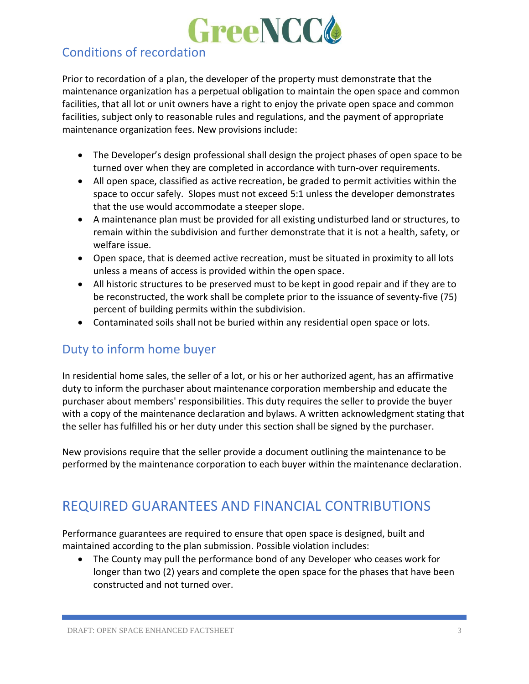

#### Conditions of recordation

Prior to recordation of a plan, the developer of the property must demonstrate that the maintenance organization has a perpetual obligation to maintain the open space and common facilities, that all lot or unit owners have a right to enjoy the private open space and common facilities, subject only to reasonable rules and regulations, and the payment of appropriate maintenance organization fees. New provisions include:

- The Developer's design professional shall design the project phases of open space to be turned over when they are completed in accordance with turn-over requirements.
- All open space, classified as active recreation, be graded to permit activities within the space to occur safely. Slopes must not exceed 5:1 unless the developer demonstrates that the use would accommodate a steeper slope.
- A maintenance plan must be provided for all existing undisturbed land or structures, to remain within the subdivision and further demonstrate that it is not a health, safety, or welfare issue.
- Open space, that is deemed active recreation, must be situated in proximity to all lots unless a means of access is provided within the open space.
- All historic structures to be preserved must to be kept in good repair and if they are to be reconstructed, the work shall be complete prior to the issuance of seventy-five (75) percent of building permits within the subdivision.
- Contaminated soils shall not be buried within any residential open space or lots.

#### Duty to inform home buyer

In residential home sales, the seller of a lot, or his or her authorized agent, has an affirmative duty to inform the purchaser about maintenance corporation membership and educate the purchaser about members' responsibilities. This duty requires the seller to provide the buyer with a copy of the maintenance declaration and bylaws. A written acknowledgment stating that the seller has fulfilled his or her duty under this section shall be signed by the purchaser.

New provisions require that the seller provide a document outlining the maintenance to be performed by the maintenance corporation to each buyer within the maintenance declaration.

## REQUIRED GUARANTEES AND FINANCIAL CONTRIBUTIONS

Performance guarantees are required to ensure that open space is designed, built and maintained according to the plan submission. Possible violation includes:

• The County may pull the performance bond of any Developer who ceases work for longer than two (2) years and complete the open space for the phases that have been constructed and not turned over.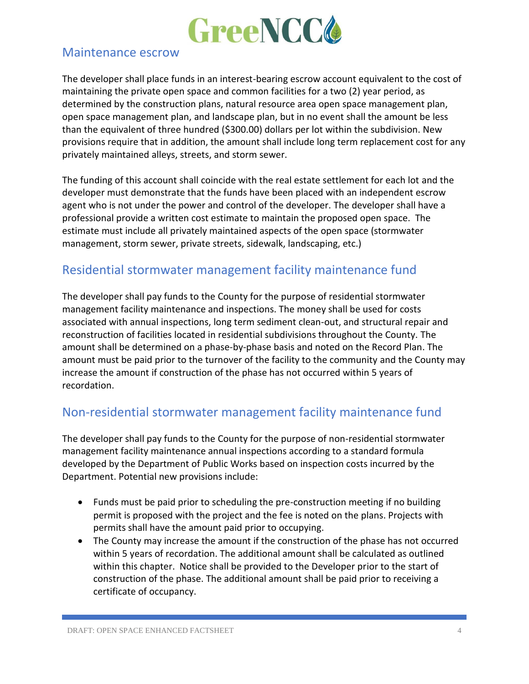

#### Maintenance escrow

The developer shall place funds in an interest-bearing escrow account equivalent to the cost of maintaining the private open space and common facilities for a two (2) year period, as determined by the construction plans, natural resource area open space management plan, open space management plan, and landscape plan, but in no event shall the amount be less than the equivalent of three hundred (\$300.00) dollars per lot within the subdivision. New provisions require that in addition, the amount shall include long term replacement cost for any privately maintained alleys, streets, and storm sewer.

The funding of this account shall coincide with the real estate settlement for each lot and the developer must demonstrate that the funds have been placed with an independent escrow agent who is not under the power and control of the developer. The developer shall have a professional provide a written cost estimate to maintain the proposed open space. The estimate must include all privately maintained aspects of the open space (stormwater management, storm sewer, private streets, sidewalk, landscaping, etc.)

#### Residential stormwater management facility maintenance fund

The developer shall pay funds to the County for the purpose of residential stormwater management facility maintenance and inspections. The money shall be used for costs associated with annual inspections, long term sediment clean-out, and structural repair and reconstruction of facilities located in residential subdivisions throughout the County. The amount shall be determined on a phase-by-phase basis and noted on the Record Plan. The amount must be paid prior to the turnover of the facility to the community and the County may increase the amount if construction of the phase has not occurred within 5 years of recordation.

#### Non-residential stormwater management facility maintenance fund

The developer shall pay funds to the County for the purpose of non-residential stormwater management facility maintenance annual inspections according to a standard formula developed by the Department of Public Works based on inspection costs incurred by the Department. Potential new provisions include:

- Funds must be paid prior to scheduling the pre-construction meeting if no building permit is proposed with the project and the fee is noted on the plans. Projects with permits shall have the amount paid prior to occupying.
- The County may increase the amount if the construction of the phase has not occurred within 5 years of recordation. The additional amount shall be calculated as outlined within this chapter. Notice shall be provided to the Developer prior to the start of construction of the phase. The additional amount shall be paid prior to receiving a certificate of occupancy.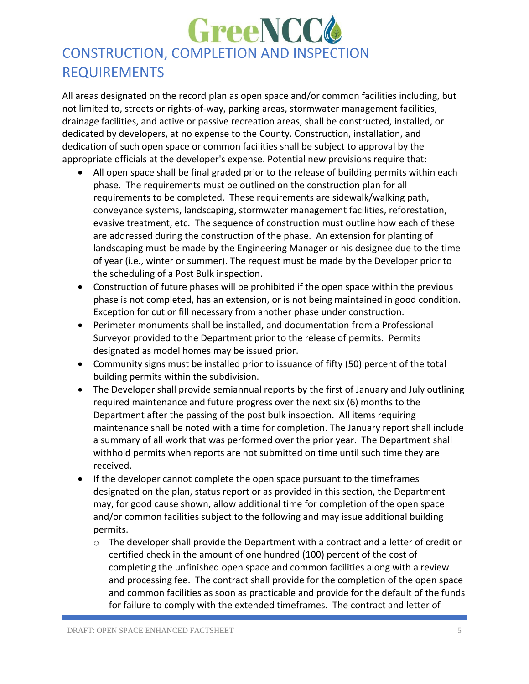# **GreeNCC4** CONSTRUCTION, COMPLETION AND INSPECTION REQUIREMENTS

All areas designated on the record plan as open space and/or common facilities including, but not limited to, streets or rights-of-way, parking areas, stormwater management facilities, drainage facilities, and active or passive recreation areas, shall be constructed, installed, or dedicated by developers, at no expense to the County. Construction, installation, and dedication of such open space or common facilities shall be subject to approval by the appropriate officials at the developer's expense. Potential new provisions require that:

- All open space shall be final graded prior to the release of building permits within each phase. The requirements must be outlined on the construction plan for all requirements to be completed. These requirements are sidewalk/walking path, conveyance systems, landscaping, stormwater management facilities, reforestation, evasive treatment, etc. The sequence of construction must outline how each of these are addressed during the construction of the phase. An extension for planting of landscaping must be made by the Engineering Manager or his designee due to the time of year (i.e., winter or summer). The request must be made by the Developer prior to the scheduling of a Post Bulk inspection.
- Construction of future phases will be prohibited if the open space within the previous phase is not completed, has an extension, or is not being maintained in good condition. Exception for cut or fill necessary from another phase under construction.
- Perimeter monuments shall be installed, and documentation from a Professional Surveyor provided to the Department prior to the release of permits. Permits designated as model homes may be issued prior.
- Community signs must be installed prior to issuance of fifty (50) percent of the total building permits within the subdivision.
- The Developer shall provide semiannual reports by the first of January and July outlining required maintenance and future progress over the next six (6) months to the Department after the passing of the post bulk inspection. All items requiring maintenance shall be noted with a time for completion. The January report shall include a summary of all work that was performed over the prior year. The Department shall withhold permits when reports are not submitted on time until such time they are received.
- If the developer cannot complete the open space pursuant to the timeframes designated on the plan, status report or as provided in this section, the Department may, for good cause shown, allow additional time for completion of the open space and/or common facilities subject to the following and may issue additional building permits.
	- $\circ$  The developer shall provide the Department with a contract and a letter of credit or certified check in the amount of one hundred (100) percent of the cost of completing the unfinished open space and common facilities along with a review and processing fee. The contract shall provide for the completion of the open space and common facilities as soon as practicable and provide for the default of the funds for failure to comply with the extended timeframes. The contract and letter of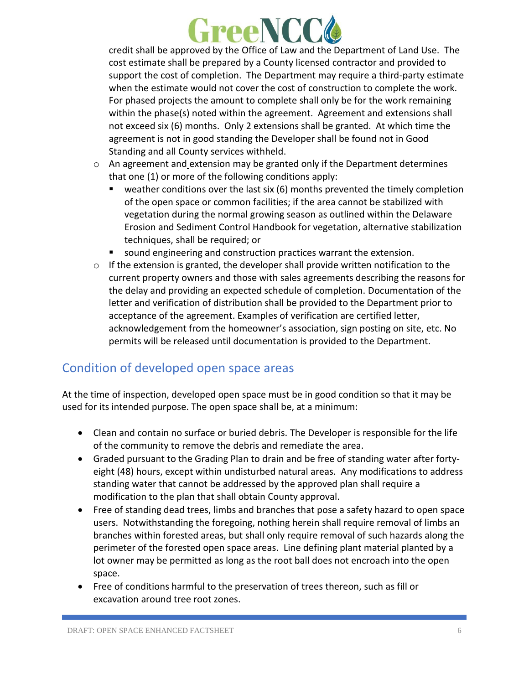

credit shall be approved by the Office of Law and the Department of Land Use. The cost estimate shall be prepared by a County licensed contractor and provided to support the cost of completion. The Department may require a third-party estimate when the estimate would not cover the cost of construction to complete the work. For phased projects the amount to complete shall only be for the work remaining within the phase(s) noted within the agreement. Agreement and extensions shall not exceed six (6) months. Only 2 extensions shall be granted. At which time the agreement is not in good standing the Developer shall be found not in Good Standing and all County services withheld.

- o An agreement and extension may be granted only if the Department determines that one (1) or more of the following conditions apply:
	- $\blacksquare$  weather conditions over the last six (6) months prevented the timely completion of the open space or common facilities; if the area cannot be stabilized with vegetation during the normal growing season as outlined within the Delaware Erosion and Sediment Control Handbook for vegetation, alternative stabilization techniques, shall be required; or
	- sound engineering and construction practices warrant the extension.
- $\circ$  If the extension is granted, the developer shall provide written notification to the current property owners and those with sales agreements describing the reasons for the delay and providing an expected schedule of completion. Documentation of the letter and verification of distribution shall be provided to the Department prior to acceptance of the agreement. Examples of verification are certified letter, acknowledgement from the homeowner's association, sign posting on site, etc. No permits will be released until documentation is provided to the Department.

#### Condition of developed open space areas

At the time of inspection, developed open space must be in good condition so that it may be used for its intended purpose. The open space shall be, at a minimum:

- Clean and contain no surface or buried debris. The Developer is responsible for the life of the community to remove the debris and remediate the area.
- Graded pursuant to the Grading Plan to drain and be free of standing water after fortyeight (48) hours, except within undisturbed natural areas. Any modifications to address standing water that cannot be addressed by the approved plan shall require a modification to the plan that shall obtain County approval.
- Free of standing dead trees, limbs and branches that pose a safety hazard to open space users. Notwithstanding the foregoing, nothing herein shall require removal of limbs an branches within forested areas, but shall only require removal of such hazards along the perimeter of the forested open space areas. Line defining plant material planted by a lot owner may be permitted as long as the root ball does not encroach into the open space.
- Free of conditions harmful to the preservation of trees thereon, such as fill or excavation around tree root zones.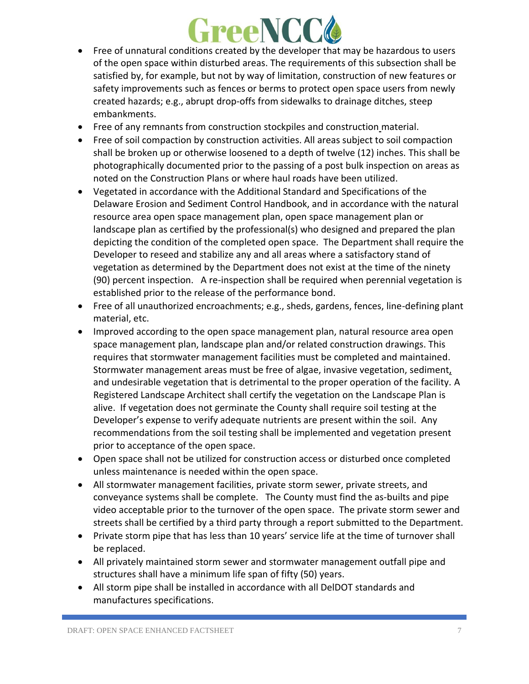

- Free of unnatural conditions created by the developer that may be hazardous to users of the open space within disturbed areas. The requirements of this subsection shall be satisfied by, for example, but not by way of limitation, construction of new features or safety improvements such as fences or berms to protect open space users from newly created hazards; e.g., abrupt drop-offs from sidewalks to drainage ditches, steep embankments.
- Free of any remnants from construction stockpiles and construction material.
- Free of soil compaction by construction activities. All areas subject to soil compaction shall be broken up or otherwise loosened to a depth of twelve (12) inches. This shall be photographically documented prior to the passing of a post bulk inspection on areas as noted on the Construction Plans or where haul roads have been utilized.
- Vegetated in accordance with the Additional Standard and Specifications of the Delaware Erosion and Sediment Control Handbook, and in accordance with the natural resource area open space management plan, open space management plan or landscape plan as certified by the professional(s) who designed and prepared the plan depicting the condition of the completed open space. The Department shall require the Developer to reseed and stabilize any and all areas where a satisfactory stand of vegetation as determined by the Department does not exist at the time of the ninety (90) percent inspection. A re-inspection shall be required when perennial vegetation is established prior to the release of the performance bond.
- Free of all unauthorized encroachments; e.g., sheds, gardens, fences, line-defining plant material, etc.
- Improved according to the open space management plan, natural resource area open space management plan, landscape plan and/or related construction drawings. This requires that stormwater management facilities must be completed and maintained. Stormwater management areas must be free of algae, invasive vegetation, sediment, and undesirable vegetation that is detrimental to the proper operation of the facility. A Registered Landscape Architect shall certify the vegetation on the Landscape Plan is alive. If vegetation does not germinate the County shall require soil testing at the Developer's expense to verify adequate nutrients are present within the soil. Any recommendations from the soil testing shall be implemented and vegetation present prior to acceptance of the open space.
- Open space shall not be utilized for construction access or disturbed once completed unless maintenance is needed within the open space.
- All stormwater management facilities, private storm sewer, private streets, and conveyance systems shall be complete. The County must find the as-builts and pipe video acceptable prior to the turnover of the open space. The private storm sewer and streets shall be certified by a third party through a report submitted to the Department.
- Private storm pipe that has less than 10 years' service life at the time of turnover shall be replaced.
- All privately maintained storm sewer and stormwater management outfall pipe and structures shall have a minimum life span of fifty (50) years.
- All storm pipe shall be installed in accordance with all DelDOT standards and manufactures specifications.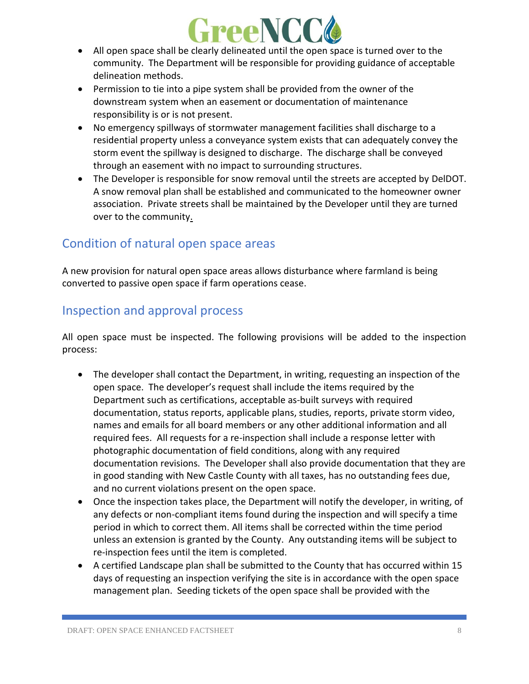

- All open space shall be clearly delineated until the open space is turned over to the community. The Department will be responsible for providing guidance of acceptable delineation methods.
- Permission to tie into a pipe system shall be provided from the owner of the downstream system when an easement or documentation of maintenance responsibility is or is not present.
- No emergency spillways of stormwater management facilities shall discharge to a residential property unless a conveyance system exists that can adequately convey the storm event the spillway is designed to discharge. The discharge shall be conveyed through an easement with no impact to surrounding structures.
- The Developer is responsible for snow removal until the streets are accepted by DelDOT. A snow removal plan shall be established and communicated to the homeowner owner association. Private streets shall be maintained by the Developer until they are turned over to the community.

#### Condition of natural open space areas

A new provision for natural open space areas allows disturbance where farmland is being converted to passive open space if farm operations cease.

#### Inspection and approval process

All open space must be inspected. The following provisions will be added to the inspection process:

- The developer shall contact the Department, in writing, requesting an inspection of the open space. The developer's request shall include the items required by the Department such as certifications, acceptable as-built surveys with required documentation, status reports, applicable plans, studies, reports, private storm video, names and emails for all board members or any other additional information and all required fees. All requests for a re-inspection shall include a response letter with photographic documentation of field conditions, along with any required documentation revisions. The Developer shall also provide documentation that they are in good standing with New Castle County with all taxes, has no outstanding fees due, and no current violations present on the open space.
- Once the inspection takes place, the Department will notify the developer, in writing, of any defects or non-compliant items found during the inspection and will specify a time period in which to correct them. All items shall be corrected within the time period unless an extension is granted by the County. Any outstanding items will be subject to re-inspection fees until the item is completed.
- A certified Landscape plan shall be submitted to the County that has occurred within 15 days of requesting an inspection verifying the site is in accordance with the open space management plan. Seeding tickets of the open space shall be provided with the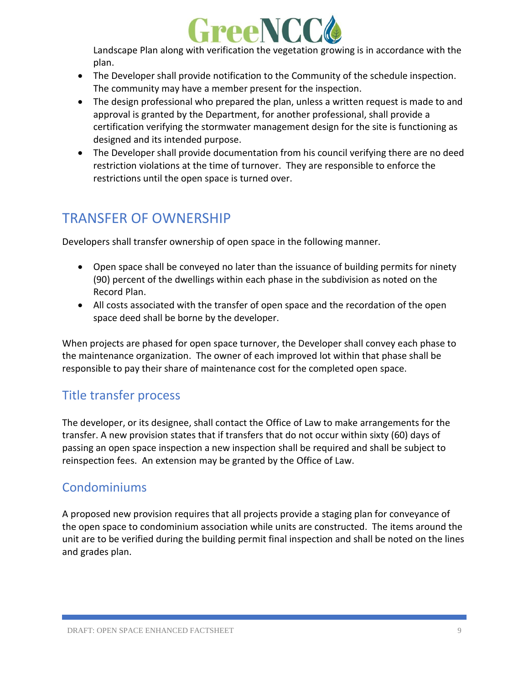

Landscape Plan along with verification the vegetation growing is in accordance with the plan.

- The Developer shall provide notification to the Community of the schedule inspection. The community may have a member present for the inspection.
- The design professional who prepared the plan, unless a written request is made to and approval is granted by the Department, for another professional, shall provide a certification verifying the stormwater management design for the site is functioning as designed and its intended purpose.
- The Developer shall provide documentation from his council verifying there are no deed restriction violations at the time of turnover. They are responsible to enforce the restrictions until the open space is turned over.

# TRANSFER OF OWNERSHIP

Developers shall transfer ownership of open space in the following manner.

- Open space shall be conveyed no later than the issuance of building permits for ninety (90) percent of the dwellings within each phase in the subdivision as noted on the Record Plan.
- All costs associated with the transfer of open space and the recordation of the open space deed shall be borne by the developer.

When projects are phased for open space turnover, the Developer shall convey each phase to the maintenance organization. The owner of each improved lot within that phase shall be responsible to pay their share of maintenance cost for the completed open space.

#### Title transfer process

The developer, or its designee, shall contact the Office of Law to make arrangements for the transfer. A new provision states that if transfers that do not occur within sixty (60) days of passing an open space inspection a new inspection shall be required and shall be subject to reinspection fees. An extension may be granted by the Office of Law.

#### Condominiums

A proposed new provision requires that all projects provide a staging plan for conveyance of the open space to condominium association while units are constructed. The items around the unit are to be verified during the building permit final inspection and shall be noted on the lines and grades plan.